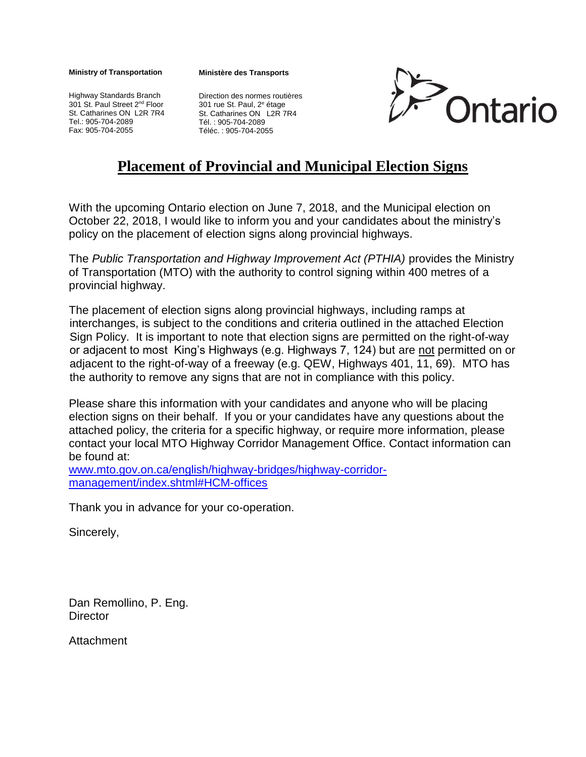## **Ministry of Transportation**

Highway Standards Branch 301 St. Paul Street 2<sup>nd</sup> Floor St. Catharines ON L2R 7R4 Tel.: 905-704-2089 Fax: 905-704-2055

**Ministère des Transports**





## **Placement of Provincial and Municipal Election Signs**

With the upcoming Ontario election on June 7, 2018, and the Municipal election on October 22, 2018, I would like to inform you and your candidates about the ministry's policy on the placement of election signs along provincial highways.

The *Public Transportation and Highway Improvement Act (PTHIA)* provides the Ministry of Transportation (MTO) with the authority to control signing within 400 metres of a provincial highway.

The placement of election signs along provincial highways, including ramps at interchanges, is subject to the conditions and criteria outlined in the attached Election Sign Policy. It is important to note that election signs are permitted on the right-of-way or adjacent to most King's Highways (e.g. Highways 7, 124) but are not permitted on or adjacent to the right-of-way of a freeway (e.g. QEW, Highways 401, 11, 69). MTO has the authority to remove any signs that are not in compliance with this policy.

Please share this information with your candidates and anyone who will be placing election signs on their behalf. If you or your candidates have any questions about the attached policy, the criteria for a specific highway, or require more information, please contact your local MTO Highway Corridor Management Office. Contact information can be found at:

[www.mto.gov.on.ca/english/highway-bridges/highway-corridor](http://www.mto.gov.on.ca/english/highway-bridges/highway-corridor-management/index.shtml#HCM-offices)[management/index.shtml#HCM-offices](http://www.mto.gov.on.ca/english/highway-bridges/highway-corridor-management/index.shtml#HCM-offices)

Thank you in advance for your co-operation.

Sincerely,

Dan Remollino, P. Eng. **Director** 

Attachment